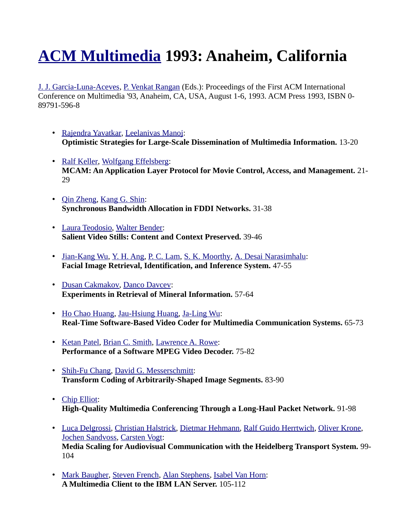## **[ACM Multimedia](http://www.informatik.uni-trier.de/~ley/db/conf/mm/index.html) 1993: Anaheim, California**

[J. J. Garcia-Luna-Aceves,](http://www.informatik.uni-trier.de/~ley/db/indices/a-tree/g/Garcia=Luna=Aceves:J=_J=.html) [P. Venkat Rangan](http://www.informatik.uni-trier.de/~ley/db/indices/a-tree/r/Rangan:P=_Venkat.html) (Eds.): Proceedings of the First ACM International Conference on Multimedia '93, Anaheim, CA, USA, August 1-6, 1993. ACM Press 1993, ISBN 0- 89791-596-8

- • [Rajendra Yavatkar,](http://www.informatik.uni-trier.de/~ley/db/indices/a-tree/y/Yavatkar:Rajendra.html) [Leelanivas Manoj:](http://www.informatik.uni-trier.de/~ley/db/indices/a-tree/m/Manoj:Leelanivas.html) **Optimistic Strategies for Large-Scale Dissemination of Multimedia Information.** 13-20
- • [Ralf Keller,](http://www.informatik.uni-trier.de/~ley/db/indices/a-tree/k/Keller:Ralf.html) [Wolfgang Effelsberg:](http://www.informatik.uni-trier.de/~ley/db/indices/a-tree/e/Effelsberg:Wolfgang.html) **MCAM: An Application Layer Protocol for Movie Control, Access, and Management.** 21- 29
- • [Qin Zheng,](http://www.informatik.uni-trier.de/~ley/db/indices/a-tree/z/Zheng:Qin.html) [Kang G. Shin:](http://www.informatik.uni-trier.de/~ley/db/indices/a-tree/s/Shin:Kang_G=.html) **Synchronous Bandwidth Allocation in FDDI Networks.** 31-38
- • [Laura Teodosio,](http://www.informatik.uni-trier.de/~ley/db/indices/a-tree/t/Teodosio:Laura.html) [Walter Bender:](http://www.informatik.uni-trier.de/~ley/db/indices/a-tree/b/Bender:Walter.html) **Salient Video Stills: Content and Context Preserved.** 39-46
- • [Jian-Kang Wu,](http://www.informatik.uni-trier.de/~ley/db/indices/a-tree/w/Wu:Jian=Kang.html) [Y. H. Ang,](http://www.informatik.uni-trier.de/~ley/db/indices/a-tree/a/Ang:Y=_H=.html) [P. C. Lam,](http://www.informatik.uni-trier.de/~ley/db/indices/a-tree/l/Lam:P=_C=.html) [S. K. Moorthy,](http://www.informatik.uni-trier.de/~ley/db/indices/a-tree/m/Moorthy:S=_K=.html) [A. Desai Narasimhalu:](http://www.informatik.uni-trier.de/~ley/db/indices/a-tree/n/Narasimhalu:A=_Desai.html) **Facial Image Retrieval, Identification, and Inference System.** 47-55
- • [Dusan Cakmakov,](http://www.informatik.uni-trier.de/~ley/db/indices/a-tree/c/Cakmakov:Dusan.html) [Danco Davcev:](http://www.informatik.uni-trier.de/~ley/db/indices/a-tree/d/Davcev:Danco.html) **Experiments in Retrieval of Mineral Information.** 57-64
- • [Ho Chao Huang,](http://www.informatik.uni-trier.de/~ley/db/indices/a-tree/h/Huang:Ho_Chao.html) [Jau-Hsiung Huang,](http://www.informatik.uni-trier.de/~ley/db/indices/a-tree/h/Huang:Jau=Hsiung.html) [Ja-Ling Wu:](http://www.informatik.uni-trier.de/~ley/db/indices/a-tree/w/Wu:Ja=Ling.html) **Real-Time Software-Based Video Coder for Multimedia Communication Systems.** 65-73
- • [Ketan Patel,](http://www.informatik.uni-trier.de/~ley/db/indices/a-tree/p/Patel:Ketan.html) [Brian C. Smith,](http://www.informatik.uni-trier.de/~ley/db/indices/a-tree/s/Smith:Brian_C=.html) [Lawrence A. Rowe:](http://www.informatik.uni-trier.de/~ley/db/indices/a-tree/r/Rowe:Lawrence_A=.html) **Performance of a Software MPEG Video Decoder.** 75-82
- • [Shih-Fu Chang,](http://www.informatik.uni-trier.de/~ley/db/indices/a-tree/c/Chang:Shih=Fu.html) [David G. Messerschmitt:](http://www.informatik.uni-trier.de/~ley/db/indices/a-tree/m/Messerschmitt:David_G=.html) **Transform Coding of Arbitrarily-Shaped Image Segments.** 83-90
- • [Chip Elliot:](http://www.informatik.uni-trier.de/~ley/db/indices/a-tree/e/Elliot:Chip.html) **High-Quality Multimedia Conferencing Through a Long-Haul Packet Network.** 91-98
- • [Luca Delgrossi,](http://www.informatik.uni-trier.de/~ley/db/indices/a-tree/d/Delgrossi:Luca.html) [Christian Halstrick,](http://www.informatik.uni-trier.de/~ley/db/indices/a-tree/h/Halstrick:Christian.html) [Dietmar Hehmann,](http://www.informatik.uni-trier.de/~ley/db/indices/a-tree/h/Hehmann:Dietmar.html) [Ralf Guido Herrtwich,](http://www.informatik.uni-trier.de/~ley/db/indices/a-tree/h/Herrtwich:Ralf_Guido.html) [Oliver Krone,](http://www.informatik.uni-trier.de/~ley/db/indices/a-tree/k/Krone:Oliver.html) [Jochen Sandvoss,](http://www.informatik.uni-trier.de/~ley/db/indices/a-tree/s/Sandvoss:Jochen.html) [Carsten Vogt:](http://www.informatik.uni-trier.de/~ley/db/indices/a-tree/v/Vogt:Carsten.html) **Media Scaling for Audiovisual Communication with the Heidelberg Transport System.** 99- 104
- • [Mark Baugher,](http://www.informatik.uni-trier.de/~ley/db/indices/a-tree/b/Baugher:Mark.html) [Steven French,](http://www.informatik.uni-trier.de/~ley/db/indices/a-tree/f/French:Steven.html) [Alan Stephens,](http://www.informatik.uni-trier.de/~ley/db/indices/a-tree/s/Stephens:Alan.html) [Isabel Van Horn:](http://www.informatik.uni-trier.de/~ley/db/indices/a-tree/h/Horn:Isabel_Van.html) **A Multimedia Client to the IBM LAN Server.** 105-112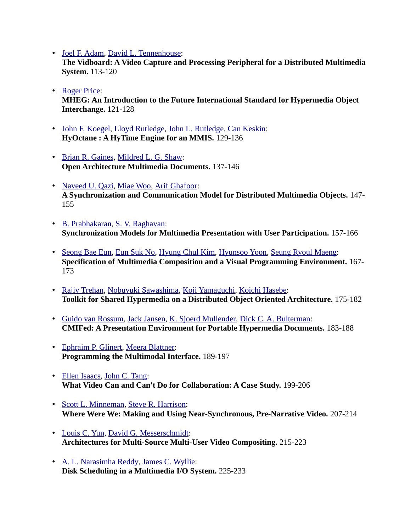• [Joel F. Adam,](http://www.informatik.uni-trier.de/~ley/db/indices/a-tree/a/Adam:Joel_F=.html) [David L. Tennenhouse:](http://www.informatik.uni-trier.de/~ley/db/indices/a-tree/t/Tennenhouse:David_L=.html)

**The Vidboard: A Video Capture and Processing Peripheral for a Distributed Multimedia System.** 113-120

- • [Roger Price:](http://www.informatik.uni-trier.de/~ley/db/indices/a-tree/p/Price:Roger.html) **MHEG: An Introduction to the Future International Standard for Hypermedia Object Interchange.** 121-128
- • [John F. Koegel,](http://www.informatik.uni-trier.de/~ley/db/indices/a-tree/k/Koegel:John_F=.html) [Lloyd Rutledge,](http://www.informatik.uni-trier.de/~ley/db/indices/a-tree/r/Rutledge:Lloyd.html) [John L. Rutledge,](http://www.informatik.uni-trier.de/~ley/db/indices/a-tree/r/Rutledge:John_L=.html) [Can Keskin:](http://www.informatik.uni-trier.de/~ley/db/indices/a-tree/k/Keskin:Can.html) **HyOctane : A HyTime Engine for an MMIS.** 129-136
- • [Brian R. Gaines,](http://www.informatik.uni-trier.de/~ley/db/indices/a-tree/g/Gaines:Brian_R=.html) [Mildred L. G. Shaw:](http://www.informatik.uni-trier.de/~ley/db/indices/a-tree/s/Shaw:Mildred_L=_G=.html) **Open Architecture Multimedia Documents.** 137-146
- • [Naveed U. Qazi,](http://www.informatik.uni-trier.de/~ley/db/indices/a-tree/q/Qazi:Naveed_U=.html) [Miae Woo,](http://www.informatik.uni-trier.de/~ley/db/indices/a-tree/w/Woo:Miae.html) [Arif Ghafoor:](http://www.informatik.uni-trier.de/~ley/db/indices/a-tree/g/Ghafoor:Arif.html) **A Synchronization and Communication Model for Distributed Multimedia Objects.** 147- 155
- • [B. Prabhakaran,](http://www.informatik.uni-trier.de/~ley/db/indices/a-tree/p/Prabhakaran:B=.html) [S. V. Raghavan:](http://www.informatik.uni-trier.de/~ley/db/indices/a-tree/r/Raghavan:S=_V=.html) **Synchronization Models for Multimedia Presentation with User Participation.** 157-166
- • [Seong Bae Eun,](http://www.informatik.uni-trier.de/~ley/db/indices/a-tree/e/Eun:Seong_Bae.html) [Eun Suk No,](http://www.informatik.uni-trier.de/~ley/db/indices/a-tree/n/No:Eun_Suk.html) [Hyung Chul Kim,](http://www.informatik.uni-trier.de/~ley/db/indices/a-tree/k/Kim:Hyung_Chul.html) [Hyunsoo Yoon,](http://www.informatik.uni-trier.de/~ley/db/indices/a-tree/y/Yoon:Hyunsoo.html) [Seung Ryoul Maeng:](http://www.informatik.uni-trier.de/~ley/db/indices/a-tree/m/Maeng:Seung_Ryoul.html) **Specification of Multimedia Composition and a Visual Programming Environment.** 167- 173
- • [Rajiv Trehan,](http://www.informatik.uni-trier.de/~ley/db/indices/a-tree/t/Trehan:Rajiv.html) [Nobuyuki Sawashima,](http://www.informatik.uni-trier.de/~ley/db/indices/a-tree/s/Sawashima:Nobuyuki.html) [Koji Yamaguchi,](http://www.informatik.uni-trier.de/~ley/db/indices/a-tree/y/Yamaguchi:Koji.html) [Koichi Hasebe:](http://www.informatik.uni-trier.de/~ley/db/indices/a-tree/h/Hasebe:Koichi.html) **Toolkit for Shared Hypermedia on a Distributed Object Oriented Architecture.** 175-182
- • [Guido van Rossum,](http://www.informatik.uni-trier.de/~ley/db/indices/a-tree/r/Rossum:Guido_van.html) [Jack Jansen,](http://www.informatik.uni-trier.de/~ley/db/indices/a-tree/j/Jansen:Jack.html) [K. Sjoerd Mullender,](http://www.informatik.uni-trier.de/~ley/db/indices/a-tree/m/Mullender:K=_Sjoerd.html) [Dick C. A. Bulterman:](http://www.informatik.uni-trier.de/~ley/db/indices/a-tree/b/Bulterman:Dick_C=_A=.html) **CMIFed: A Presentation Environment for Portable Hypermedia Documents.** 183-188
- • [Ephraim P. Glinert,](http://www.informatik.uni-trier.de/~ley/db/indices/a-tree/g/Glinert:Ephraim_P=.html) [Meera Blattner:](http://www.informatik.uni-trier.de/~ley/db/indices/a-tree/b/Blattner:Meera.html) **Programming the Multimodal Interface.** 189-197
- • [Ellen Isaacs,](http://www.informatik.uni-trier.de/~ley/db/indices/a-tree/i/Isaacs:Ellen.html) [John C. Tang:](http://www.informatik.uni-trier.de/~ley/db/indices/a-tree/t/Tang:John_C=.html) **What Video Can and Can't Do for Collaboration: A Case Study.** 199-206
- • [Scott L. Minneman,](http://www.informatik.uni-trier.de/~ley/db/indices/a-tree/m/Minneman:Scott_L=.html) [Steve R. Harrison:](http://www.informatik.uni-trier.de/~ley/db/indices/a-tree/h/Harrison:Steve_R=.html) **Where Were We: Making and Using Near-Synchronous, Pre-Narrative Video.** 207-214
- • [Louis C. Yun,](http://www.informatik.uni-trier.de/~ley/db/indices/a-tree/y/Yun:Louis_C=.html) [David G. Messerschmidt:](http://www.informatik.uni-trier.de/~ley/db/indices/a-tree/m/Messerschmidt:David_G=.html) **Architectures for Multi-Source Multi-User Video Compositing.** 215-223
- • [A. L. Narasimha Reddy,](http://www.informatik.uni-trier.de/~ley/db/indices/a-tree/r/Reddy:A=_L=_Narasimha.html) [James C. Wyllie:](http://www.informatik.uni-trier.de/~ley/db/indices/a-tree/w/Wyllie:James_C=.html) **Disk Scheduling in a Multimedia I/O System.** 225-233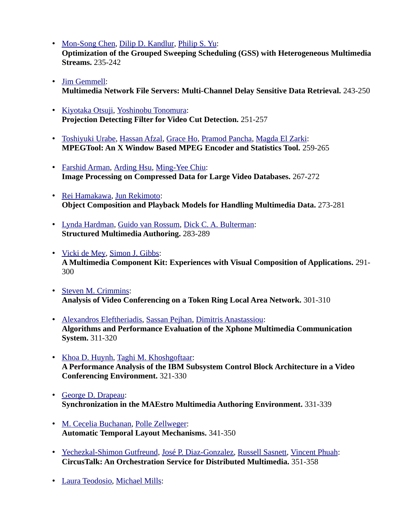- • [Mon-Song Chen,](http://www.informatik.uni-trier.de/~ley/db/indices/a-tree/c/Chen:Mon=Song.html) [Dilip D. Kandlur,](http://www.informatik.uni-trier.de/~ley/db/indices/a-tree/k/Kandlur:Dilip_D=.html) [Philip S. Yu:](http://www.informatik.uni-trier.de/~ley/db/indices/a-tree/y/Yu:Philip_S=.html) **Optimization of the Grouped Sweeping Scheduling (GSS) with Heterogeneous Multimedia Streams.** 235-242
- • [Jim Gemmell:](http://www.informatik.uni-trier.de/~ley/db/indices/a-tree/g/Gemmell:Jim.html) **Multimedia Network File Servers: Multi-Channel Delay Sensitive Data Retrieval.** 243-250
- • [Kiyotaka Otsuji,](http://www.informatik.uni-trier.de/~ley/db/indices/a-tree/o/Otsuji:Kiyotaka.html) [Yoshinobu Tonomura:](http://www.informatik.uni-trier.de/~ley/db/indices/a-tree/t/Tonomura:Yoshinobu.html) **Projection Detecting Filter for Video Cut Detection.** 251-257
- • [Toshiyuki Urabe,](http://www.informatik.uni-trier.de/~ley/db/indices/a-tree/u/Urabe:Toshiyuki.html) [Hassan Afzal,](http://www.informatik.uni-trier.de/~ley/db/indices/a-tree/a/Afzal:Hassan.html) [Grace Ho,](http://www.informatik.uni-trier.de/~ley/db/indices/a-tree/h/Ho:Grace.html) [Pramod Pancha,](http://www.informatik.uni-trier.de/~ley/db/indices/a-tree/p/Pancha:Pramod.html) [Magda El Zarki:](http://www.informatik.uni-trier.de/~ley/db/indices/a-tree/z/Zarki:Magda_El.html) **MPEGTool: An X Window Based MPEG Encoder and Statistics Tool.** 259-265
- • [Farshid Arman,](http://www.informatik.uni-trier.de/~ley/db/indices/a-tree/a/Arman:Farshid.html) [Arding Hsu,](http://www.informatik.uni-trier.de/~ley/db/indices/a-tree/h/Hsu:Arding.html) [Ming-Yee Chiu:](http://www.informatik.uni-trier.de/~ley/db/indices/a-tree/c/Chiu:Ming=Yee.html) **Image Processing on Compressed Data for Large Video Databases.** 267-272
- • [Rei Hamakawa,](http://www.informatik.uni-trier.de/~ley/db/indices/a-tree/h/Hamakawa:Rei.html) [Jun Rekimoto:](http://www.informatik.uni-trier.de/~ley/db/indices/a-tree/r/Rekimoto:Jun.html) **Object Composition and Playback Models for Handling Multimedia Data.** 273-281
- • [Lynda Hardman,](http://www.informatik.uni-trier.de/~ley/db/indices/a-tree/h/Hardman:Lynda.html) [Guido van Rossum,](http://www.informatik.uni-trier.de/~ley/db/indices/a-tree/r/Rossum:Guido_van.html) [Dick C. A. Bulterman:](http://www.informatik.uni-trier.de/~ley/db/indices/a-tree/b/Bulterman:Dick_C=_A=.html) **Structured Multimedia Authoring.** 283-289
- • [Vicki de Mey,](http://www.informatik.uni-trier.de/~ley/db/indices/a-tree/m/Mey:Vicki_de.html) [Simon J. Gibbs:](http://www.informatik.uni-trier.de/~ley/db/indices/a-tree/g/Gibbs:Simon_J=.html) **A Multimedia Component Kit: Experiences with Visual Composition of Applications.** 291- 300
- • [Steven M. Crimmins:](http://www.informatik.uni-trier.de/~ley/db/indices/a-tree/c/Crimmins:Steven_M=.html) **Analysis of Video Conferencing on a Token Ring Local Area Network.** 301-310
- • [Alexandros Eleftheriadis,](http://www.informatik.uni-trier.de/~ley/db/indices/a-tree/e/Eleftheriadis:Alexandros.html) [Sassan Pejhan,](http://www.informatik.uni-trier.de/~ley/db/indices/a-tree/p/Pejhan:Sassan.html) [Dimitris Anastassiou:](http://www.informatik.uni-trier.de/~ley/db/indices/a-tree/a/Anastassiou:Dimitris.html) **Algorithms and Performance Evaluation of the Xphone Multimedia Communication System.** 311-320
- • [Khoa D. Huynh,](http://www.informatik.uni-trier.de/~ley/db/indices/a-tree/h/Huynh:Khoa_D=.html) [Taghi M. Khoshgoftaar:](http://www.informatik.uni-trier.de/~ley/db/indices/a-tree/k/Khoshgoftaar:Taghi_M=.html) **A Performance Analysis of the IBM Subsystem Control Block Architecture in a Video Conferencing Environment.** 321-330
- • [George D. Drapeau:](http://www.informatik.uni-trier.de/~ley/db/indices/a-tree/d/Drapeau:George_D=.html) **Synchronization in the MAEstro Multimedia Authoring Environment.** 331-339
- • [M. Cecelia Buchanan,](http://www.informatik.uni-trier.de/~ley/db/indices/a-tree/b/Buchanan:M=_Cecelia.html) [Polle Zellweger:](http://www.informatik.uni-trier.de/~ley/db/indices/a-tree/z/Zellweger:Polle.html) **Automatic Temporal Layout Mechanisms.** 341-350
- • [Yechezkal-Shimon Gutfreund,](http://www.informatik.uni-trier.de/~ley/db/indices/a-tree/g/Gutfreund:Yechezkal=Shimon.html) [José P. Diaz-Gonzalez,](http://www.informatik.uni-trier.de/~ley/db/indices/a-tree/d/Diaz=Gonzalez:Jos=eacute=_P=.html) [Russell Sasnett,](http://www.informatik.uni-trier.de/~ley/db/indices/a-tree/s/Sasnett:Russell.html) [Vincent Phuah:](http://www.informatik.uni-trier.de/~ley/db/indices/a-tree/p/Phuah:Vincent.html) **CircusTalk: An Orchestration Service for Distributed Multimedia.** 351-358
- • [Laura Teodosio,](http://www.informatik.uni-trier.de/~ley/db/indices/a-tree/t/Teodosio:Laura.html) [Michael Mills:](http://www.informatik.uni-trier.de/~ley/db/indices/a-tree/m/Mills:Michael.html)